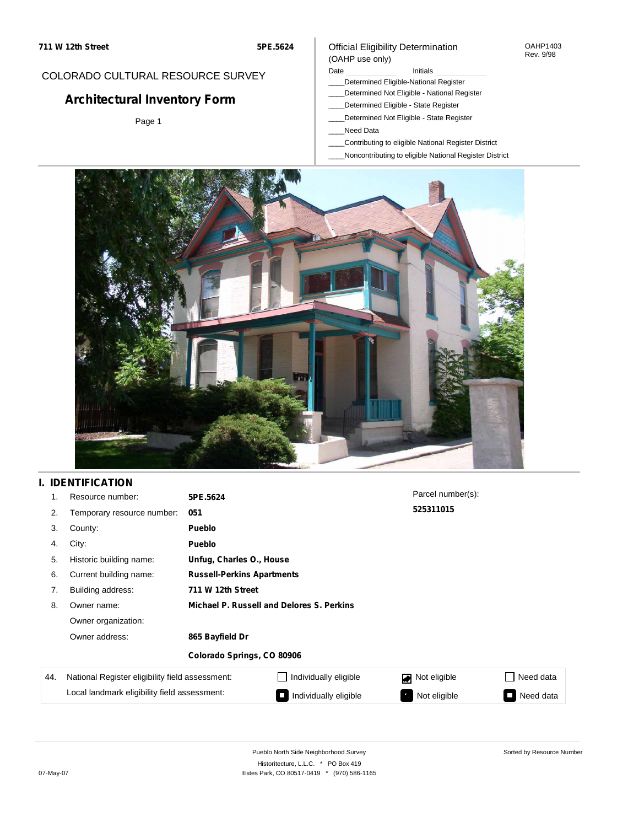#### OAHP1403 Rev. 9/98

### COLORADO CULTURAL RESOURCE SURVEY

# **Architectural Inventory Form**

Page 1

#### (OAHP use only) Date **Initials** Initials

\_\_\_\_Determined Eligible-National Register

Official Eligibility Determination

- \_\_\_\_Determined Not Eligible National Register
- \_\_\_\_Determined Eligible State Register
- \_\_\_\_Determined Not Eligible State Register
- \_\_\_\_Need Data
- \_\_\_\_Contributing to eligible National Register District
- \_\_\_\_Noncontributing to eligible National Register District



## **I. IDENTIFICATION**

| 1.  | Resource number:                                | 5PE.5624                   |                                           | Parcel number(s): |                     |  |
|-----|-------------------------------------------------|----------------------------|-------------------------------------------|-------------------|---------------------|--|
| 2.  | Temporary resource number:                      | 051                        |                                           | 525311015         |                     |  |
| 3.  | County:                                         | Pueblo                     |                                           |                   |                     |  |
| 4.  | City:                                           | Pueblo                     |                                           |                   |                     |  |
| 5.  | Historic building name:                         |                            | Unfug, Charles O., House                  |                   |                     |  |
| 6.  | Current building name:                          |                            | <b>Russell-Perkins Apartments</b>         |                   |                     |  |
| 7.  | Building address:                               | 711 W 12th Street          |                                           |                   |                     |  |
| 8.  | Owner name:                                     |                            | Michael P. Russell and Delores S. Perkins |                   |                     |  |
|     | Owner organization:                             |                            |                                           |                   |                     |  |
|     | Owner address:                                  | 865 Bayfield Dr            |                                           |                   |                     |  |
|     |                                                 | Colorado Springs, CO 80906 |                                           |                   |                     |  |
| 44. | National Register eligibility field assessment: |                            | Individually eligible                     | Not eligible      | Need data           |  |
|     | Local landmark eligibility field assessment:    |                            | Individually eligible<br>$\blacksquare$   | Not eligible<br>ъ | Need data<br>$\sim$ |  |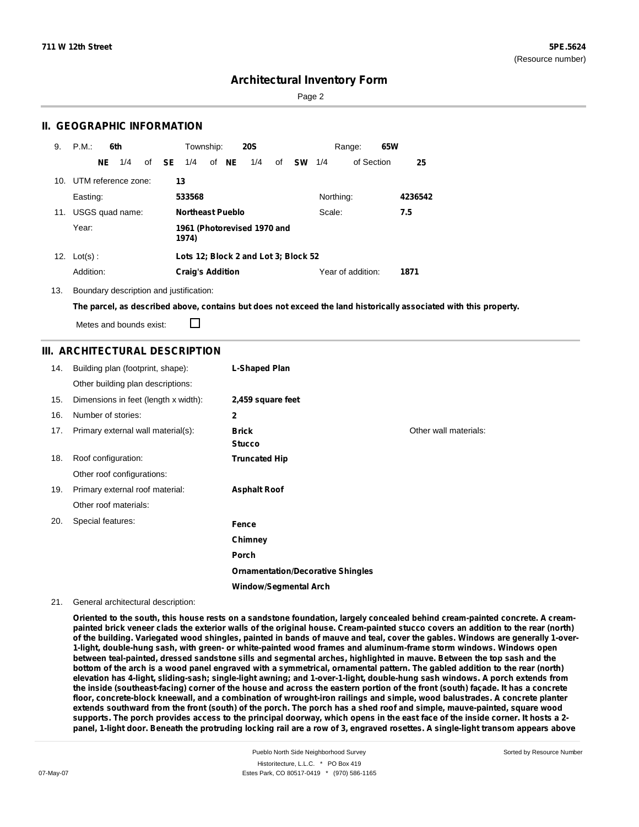Page 2

### **II. GEOGRAPHIC INFORMATION**

| 9.  | P.M.                    |     | 6th             |              | Township:               |       | <b>20S</b>                           |    |               |           | Range:            | 65W |         |
|-----|-------------------------|-----|-----------------|--------------|-------------------------|-------|--------------------------------------|----|---------------|-----------|-------------------|-----|---------|
|     |                         | NE. | 1/4             | of <b>SE</b> | 1/4                     | of NE | 1/4                                  | of | <b>SW</b> 1/4 |           | of Section        |     | 25      |
|     | 10. UTM reference zone: |     |                 |              | 13                      |       |                                      |    |               |           |                   |     |         |
|     | Easting:                |     |                 |              | 533568                  |       |                                      |    |               | Northing: |                   |     | 4236542 |
| 11. |                         |     | USGS quad name: |              | <b>Northeast Pueblo</b> |       |                                      |    |               | Scale:    |                   |     | 7.5     |
|     | Year:                   |     |                 |              | 1974)                   |       | 1961 (Photorevised 1970 and          |    |               |           |                   |     |         |
|     | 12. $Lot(s)$ :          |     |                 |              |                         |       | Lots 12; Block 2 and Lot 3; Block 52 |    |               |           |                   |     |         |
|     | Addition:               |     |                 |              | <b>Craig's Addition</b> |       |                                      |    |               |           | Year of addition: |     | 1871    |

13. Boundary description and justification:

The parcel, as described above, contains but does not exceed the land historically associated with this property.

Metes and bounds exist:

П

### **III. ARCHITECTURAL DESCRIPTION**

| 14. | Building plan (footprint, shape):    | L-Shaped Plan                            |                       |
|-----|--------------------------------------|------------------------------------------|-----------------------|
|     | Other building plan descriptions:    |                                          |                       |
| 15. | Dimensions in feet (length x width): | 2,459 square feet                        |                       |
| 16. | Number of stories:                   | $\mathbf{2}$                             |                       |
| 17. | Primary external wall material(s):   | <b>Brick</b><br><b>Stucco</b>            | Other wall materials: |
| 18. | Roof configuration:                  | <b>Truncated Hip</b>                     |                       |
|     | Other roof configurations:           |                                          |                       |
| 19. | Primary external roof material:      | <b>Asphalt Roof</b>                      |                       |
|     | Other roof materials:                |                                          |                       |
| 20. | Special features:                    | Fence                                    |                       |
|     |                                      | Chimney                                  |                       |
|     |                                      | <b>Porch</b>                             |                       |
|     |                                      | <b>Ornamentation/Decorative Shingles</b> |                       |
|     |                                      | <b>Window/Segmental Arch</b>             |                       |

#### 21. General architectural description:

Oriented to the south, this house rests on a sandstone foundation, largely concealed behind cream-painted concrete. A creampainted brick veneer clads the exterior walls of the original house. Cream-painted stucco covers an addition to the rear (north) of the building. Variegated wood shingles, painted in bands of mauve and teal, cover the gables. Windows are generally 1-over-**1-light, double-hung sash, with green- or white-painted wood frames and aluminum-frame storm windows. Windows open** between teal-painted, dressed sandstone sills and segmental arches, highlighted in mauve. Between the top sash and the bottom of the arch is a wood panel engraved with a symmetrical, ornamental pattern. The gabled addition to the rear (north) elevation has 4-light, sliding-sash; single-light awning; and 1-over-1-light, double-hung sash windows. A porch extends from the inside (southeast-facing) corner of the house and across the eastern portion of the front (south) façade. It has a concrete floor, concrete-block kneewall, and a combination of wrought-iron railings and simple, wood balustrades. A concrete planter extends southward from the front (south) of the porch. The porch has a shed roof and simple, mauve-painted, square wood supports. The porch provides access to the principal doorway, which opens in the east face of the inside corner. It hosts a 2panel, 1-light door. Beneath the protruding locking rail are a row of 3, engraved rosettes. A single-light transom appears above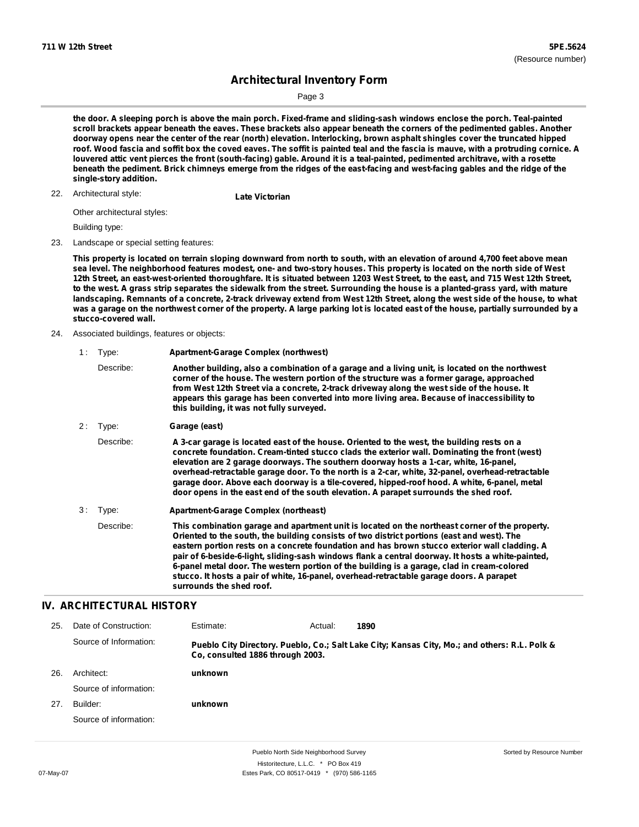Page 3

the door. A sleeping porch is above the main porch. Fixed-frame and sliding-sash windows enclose the porch. Teal-painted scroll brackets appear beneath the eaves. These brackets also appear beneath the corners of the pedimented gables. Another doorway opens near the center of the rear (north) elevation. Interlocking, brown asphalt shingles cover the truncated hipped roof. Wood fascia and soffit box the coved eaves. The soffit is painted teal and the fascia is mauve, with a protruding cornice. A louvered attic vent pierces the front (south-facing) gable. Around it is a teal-painted, pedimented architrave, with a rosette beneath the pediment. Brick chimneys emerge from the ridges of the east-facing and west-facing gables and the ridge of the **single-story addition.**

Architectural style: 22. **Late Victorian**

Other architectural styles:

Building type:

23. Landscape or special setting features:

This property is located on terrain sloping downward from north to south, with an elevation of around 4,700 feet above mean sea level. The neighborhood features modest, one- and two-story houses. This property is located on the north side of West 12th Street, an east-west-oriented thoroughfare. It is situated between 1203 West Street, to the east, and 715 West 12th Street, to the west. A grass strip separates the sidewalk from the street. Surrounding the house is a planted-grass yard, with mature landscaping. Remnants of a concrete, 2-track driveway extend from West 12th Street, along the west side of the house, to what was a garage on the northwest corner of the property. A large parking lot is located east of the house, partially surrounded by a **stucco-covered wall.**

24. Associated buildings, features or objects:

| 1: | Type:                | <b>Apartment-Garage Complex (northwest)</b>                                                                                                                                                                                                                                                                                                                                                                                                                                                                                                                                       |
|----|----------------------|-----------------------------------------------------------------------------------------------------------------------------------------------------------------------------------------------------------------------------------------------------------------------------------------------------------------------------------------------------------------------------------------------------------------------------------------------------------------------------------------------------------------------------------------------------------------------------------|
|    | Describe:            | Another building, also a combination of a garage and a living unit, is located on the northwest<br>corner of the house. The western portion of the structure was a former garage, approached<br>from West 12th Street via a concrete, 2-track driveway along the west side of the house. It<br>appears this garage has been converted into more living area. Because of inaccessibility to<br>this building, it was not fully surveyed.                                                                                                                                           |
| 2: | Type:                | Garage (east)                                                                                                                                                                                                                                                                                                                                                                                                                                                                                                                                                                     |
|    | Describe:            | A 3-car garage is located east of the house. Oriented to the west, the building rests on a<br>concrete foundation. Cream-tinted stucco clads the exterior wall. Dominating the front (west)<br>elevation are 2 garage doorways. The southern doorway hosts a 1-car, white, 16-panel,<br>overhead-retractable garage door. To the north is a 2-car, white, 32-panel, overhead-retractable<br>garage door. Above each doorway is a tile-covered, hipped-roof hood. A white, 6-panel, metal<br>door opens in the east end of the south elevation. A parapet surrounds the shed roof. |
| 3: | Type:                | Apartment-Garage Complex (northeast)                                                                                                                                                                                                                                                                                                                                                                                                                                                                                                                                              |
|    | Decribe <sup>.</sup> | This combination garage and apartment unit is located on the northeast corner of the property                                                                                                                                                                                                                                                                                                                                                                                                                                                                                     |

Describe: **This combination garage and apartment unit is located on the northeast corner of the property. Oriented to the south, the building consists of two district portions (east and west). The eastern portion rests on a concrete foundation and has brown stucco exterior wall cladding. A pair of 6-beside-6-light, sliding-sash windows flank a central doorway. It hosts a white-painted, 6-panel metal door. The western portion of the building is a garage, clad in cream-colored stucco. It hosts a pair of white, 16-panel, overhead-retractable garage doors. A parapet surrounds the shed roof.**

### **IV. ARCHITECTURAL HISTORY**

| Date of Construction:  | Estimate: | Actual: | 1890                                                                                          |
|------------------------|-----------|---------|-----------------------------------------------------------------------------------------------|
| Source of Information: |           |         | Pueblo City Directory. Pueblo, Co.; Salt Lake City; Kansas City, Mo.; and others: R.L. Polk & |
| Architect:             | unknown   |         |                                                                                               |
| Source of information: |           |         |                                                                                               |
| Builder:               | unknown   |         |                                                                                               |
| Source of information: |           |         |                                                                                               |
|                        |           |         | Co. consulted 1886 through 2003.                                                              |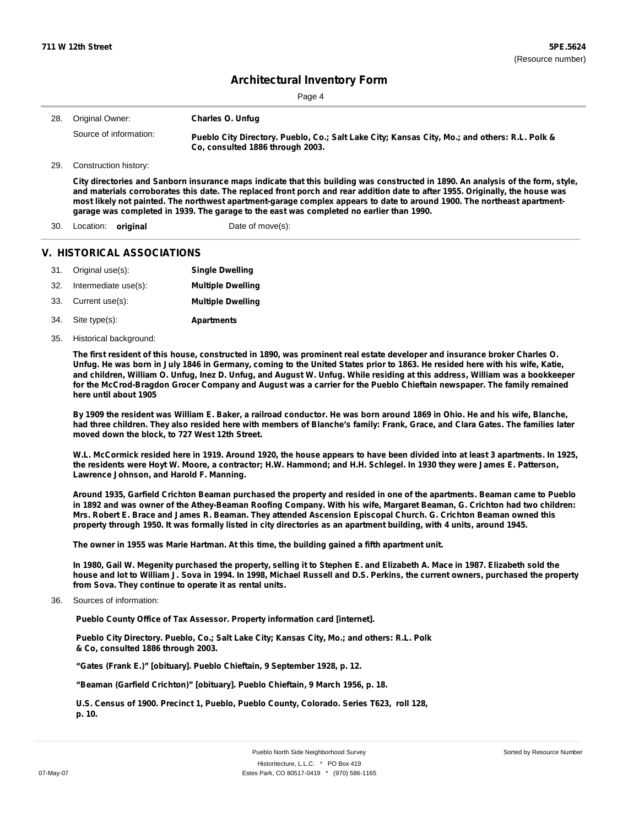| 28. | Original Owner:            | <b>Charles O. Unfug</b>                                                                                                                                                                                                                                                                                                                                                                                                                                                                    |
|-----|----------------------------|--------------------------------------------------------------------------------------------------------------------------------------------------------------------------------------------------------------------------------------------------------------------------------------------------------------------------------------------------------------------------------------------------------------------------------------------------------------------------------------------|
|     | Source of information:     | Pueblo City Directory. Pueblo, Co.; Salt Lake City; Kansas City, Mo.; and others: R.L. Polk &<br>Co. consulted 1886 through 2003.                                                                                                                                                                                                                                                                                                                                                          |
| 29. | Construction history:      |                                                                                                                                                                                                                                                                                                                                                                                                                                                                                            |
|     |                            | City directories and Sanborn insurance maps indicate that this building was constructed in 1890. An analysis of the form, style,<br>and materials corroborates this date. The replaced front porch and rear addition date to after 1955. Originally, the house was<br>most likely not painted. The northwest apartment-garage complex appears to date to around 1900. The northeast apartment-<br>garage was completed in 1939. The garage to the east was completed no earlier than 1990. |
| 30. | Location:<br>original      | Date of move(s):                                                                                                                                                                                                                                                                                                                                                                                                                                                                           |
|     | V. HISTORICAL ASSOCIATIONS |                                                                                                                                                                                                                                                                                                                                                                                                                                                                                            |
| 31. | Original use(s):           | <b>Single Dwelling</b>                                                                                                                                                                                                                                                                                                                                                                                                                                                                     |

| 32. | Intermediate use(s): | <b>Multiple Dwelling</b> |
|-----|----------------------|--------------------------|
|     | 33. Current use(s):  | <b>Multiple Dwelling</b> |
| 34. | Site type(s):        | <b>Apartments</b>        |

35. Historical background:

The first resident of this house, constructed in 1890, was prominent real estate developer and insurance broker Charles O. Unfug. He was born in July 1846 in Germany, coming to the United States prior to 1863. He resided here with his wife, Katie, and children, William O. Unfug, Inez D. Unfug, and August W. Unfug. While residing at this address, William was a bookkeeper for the McCrod-Bragdon Grocer Company and August was a carrier for the Pueblo Chieftain newspaper. The family remained **here until about 1905**

By 1909 the resident was William E. Baker, a railroad conductor. He was born around 1869 in Ohio. He and his wife, Blanche, had three children. They also resided here with members of Blanche's family: Frank, Grace, and Clara Gates. The families later **moved down the block, to 727 West 12th Street.**

W.L. McCormick resided here in 1919. Around 1920, the house appears to have been divided into at least 3 apartments. In 1925, the residents were Hoyt W. Moore, a contractor; H.W. Hammond; and H.H. Schlegel. In 1930 they were James E. Patterson, **Lawrence Johnson, and Harold F. Manning.**

Around 1935, Garfield Crichton Beaman purchased the property and resided in one of the apartments. Beaman came to Pueblo in 1892 and was owner of the Athey-Beaman Roofing Company. With his wife, Margaret Beaman, G. Crichton had two children: Mrs. Robert E. Brace and James R. Beaman. They attended Ascension Episcopal Church. G. Crichton Beaman owned this property through 1950. It was formally listed in city directories as an apartment building, with 4 units, around 1945.

**The owner in 1955 was Marie Hartman. At this time, the building gained a fifth apartment unit.**

In 1980, Gail W. Megenity purchased the property, selling it to Stephen E. and Elizabeth A. Mace in 1987. Elizabeth sold the house and lot to William J. Sova in 1994. In 1998, Michael Russell and D.S. Perkins, the current owners, purchased the property **from Sova. They continue to operate it as rental units.**

36. Sources of information:

**Pueblo County Office of Tax Assessor. Property information card [internet].**

**Pueblo City Directory. Pueblo, Co.; Salt Lake City; Kansas City, Mo.; and others: R.L. Polk & Co, consulted 1886 through 2003.**

**"Gates (Frank E.)" [obituary]. Pueblo Chieftain, 9 September 1928, p. 12.**

**"Beaman (Garfield Crichton)" [obituary]. Pueblo Chieftain, 9 March 1956, p. 18.**

**U.S. Census of 1900. Precinct 1, Pueblo, Pueblo County, Colorado. Series T623, roll 128, p. 10.**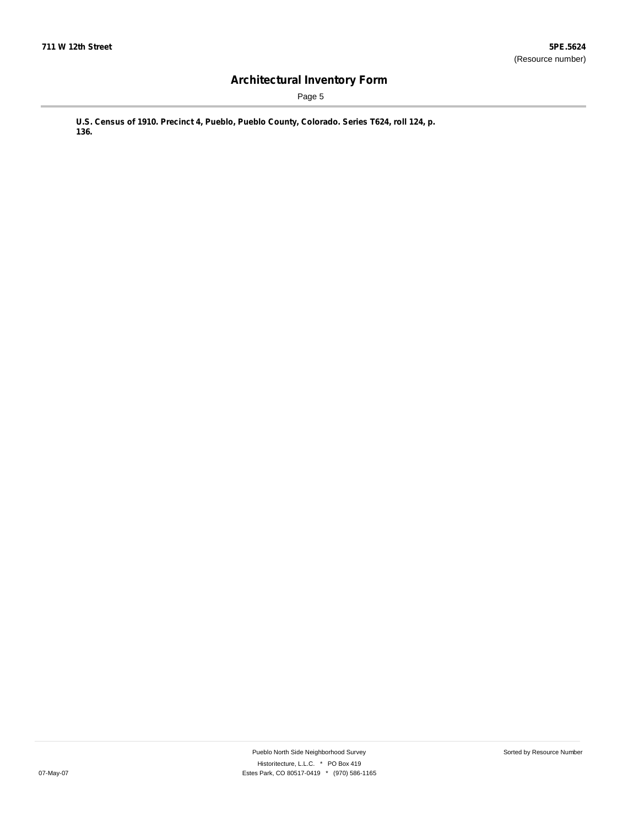Page 5

**U.S. Census of 1910. Precinct 4, Pueblo, Pueblo County, Colorado. Series T624, roll 124, p. 136.**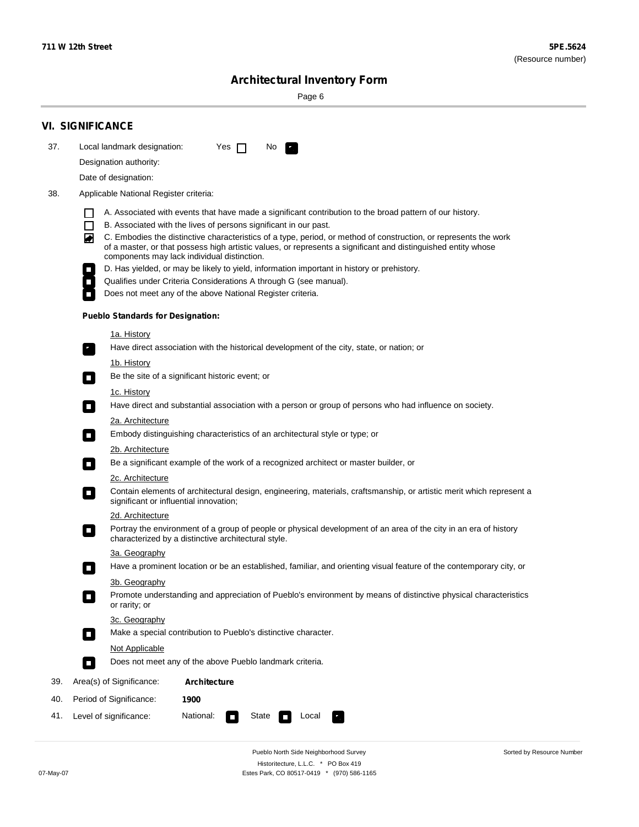Sorted by Resource Number

# **Architectural Inventory Form**

Page 6

|     | <b>VI. SIGNIFICANCE</b>                                                                                                                                                                                                                |  |  |  |  |  |  |  |  |  |
|-----|----------------------------------------------------------------------------------------------------------------------------------------------------------------------------------------------------------------------------------------|--|--|--|--|--|--|--|--|--|
| 37. | Local landmark designation:<br>Yes $\Box$<br>No.<br>۳.                                                                                                                                                                                 |  |  |  |  |  |  |  |  |  |
|     | Designation authority:                                                                                                                                                                                                                 |  |  |  |  |  |  |  |  |  |
|     | Date of designation:                                                                                                                                                                                                                   |  |  |  |  |  |  |  |  |  |
| 38. | Applicable National Register criteria:                                                                                                                                                                                                 |  |  |  |  |  |  |  |  |  |
|     | A. Associated with events that have made a significant contribution to the broad pattern of our history.                                                                                                                               |  |  |  |  |  |  |  |  |  |
|     | B. Associated with the lives of persons significant in our past.<br>$\Box$                                                                                                                                                             |  |  |  |  |  |  |  |  |  |
|     | ◙<br>C. Embodies the distinctive characteristics of a type, period, or method of construction, or represents the work<br>of a master, or that possess high artistic values, or represents a significant and distinguished entity whose |  |  |  |  |  |  |  |  |  |
|     | components may lack individual distinction.<br>D. Has yielded, or may be likely to yield, information important in history or prehistory.                                                                                              |  |  |  |  |  |  |  |  |  |
|     | Qualifies under Criteria Considerations A through G (see manual).<br>$\Box$                                                                                                                                                            |  |  |  |  |  |  |  |  |  |
|     | Does not meet any of the above National Register criteria.                                                                                                                                                                             |  |  |  |  |  |  |  |  |  |
|     | <b>Pueblo Standards for Designation:</b>                                                                                                                                                                                               |  |  |  |  |  |  |  |  |  |
|     | <u>1a. History</u>                                                                                                                                                                                                                     |  |  |  |  |  |  |  |  |  |
|     | Have direct association with the historical development of the city, state, or nation; or<br>۳,                                                                                                                                        |  |  |  |  |  |  |  |  |  |
|     | <u>1b. History</u><br>Be the site of a significant historic event; or<br>$\blacksquare$                                                                                                                                                |  |  |  |  |  |  |  |  |  |
|     | <u>1c. History</u>                                                                                                                                                                                                                     |  |  |  |  |  |  |  |  |  |
|     | Have direct and substantial association with a person or group of persons who had influence on society.<br>$\overline{\phantom{a}}$                                                                                                    |  |  |  |  |  |  |  |  |  |
|     | 2a. Architecture                                                                                                                                                                                                                       |  |  |  |  |  |  |  |  |  |
|     | Embody distinguishing characteristics of an architectural style or type; or<br>$\Box$                                                                                                                                                  |  |  |  |  |  |  |  |  |  |
|     | 2b. Architecture<br>Be a significant example of the work of a recognized architect or master builder, or<br>$\Box$                                                                                                                     |  |  |  |  |  |  |  |  |  |
|     | <b>2c. Architecture</b>                                                                                                                                                                                                                |  |  |  |  |  |  |  |  |  |
|     | Contain elements of architectural design, engineering, materials, craftsmanship, or artistic merit which represent a<br>$\Box$<br>significant or influential innovation;                                                               |  |  |  |  |  |  |  |  |  |
|     | 2d. Architecture                                                                                                                                                                                                                       |  |  |  |  |  |  |  |  |  |
|     | Portray the environment of a group of people or physical development of an area of the city in an era of history<br>$\overline{\phantom{a}}$<br>characterized by a distinctive architectural style.                                    |  |  |  |  |  |  |  |  |  |
|     | 3a. Geography                                                                                                                                                                                                                          |  |  |  |  |  |  |  |  |  |
|     | Have a prominent location or be an established, familiar, and orienting visual feature of the contemporary city, or<br>П                                                                                                               |  |  |  |  |  |  |  |  |  |
|     | 3b. Geography                                                                                                                                                                                                                          |  |  |  |  |  |  |  |  |  |
|     | Promote understanding and appreciation of Pueblo's environment by means of distinctive physical characteristics<br>or rarity; or                                                                                                       |  |  |  |  |  |  |  |  |  |
|     | 3c. Geography                                                                                                                                                                                                                          |  |  |  |  |  |  |  |  |  |
|     | Make a special contribution to Pueblo's distinctive character.<br>$\Box$                                                                                                                                                               |  |  |  |  |  |  |  |  |  |
|     | Not Applicable                                                                                                                                                                                                                         |  |  |  |  |  |  |  |  |  |
|     | Does not meet any of the above Pueblo landmark criteria.<br>n.                                                                                                                                                                         |  |  |  |  |  |  |  |  |  |
| 39. | Area(s) of Significance:<br>Architecture                                                                                                                                                                                               |  |  |  |  |  |  |  |  |  |
| 40. | Period of Significance:<br>1900                                                                                                                                                                                                        |  |  |  |  |  |  |  |  |  |
| 41. | National:<br>Level of significance:<br>State<br>Local<br>$\Box$<br>×.                                                                                                                                                                  |  |  |  |  |  |  |  |  |  |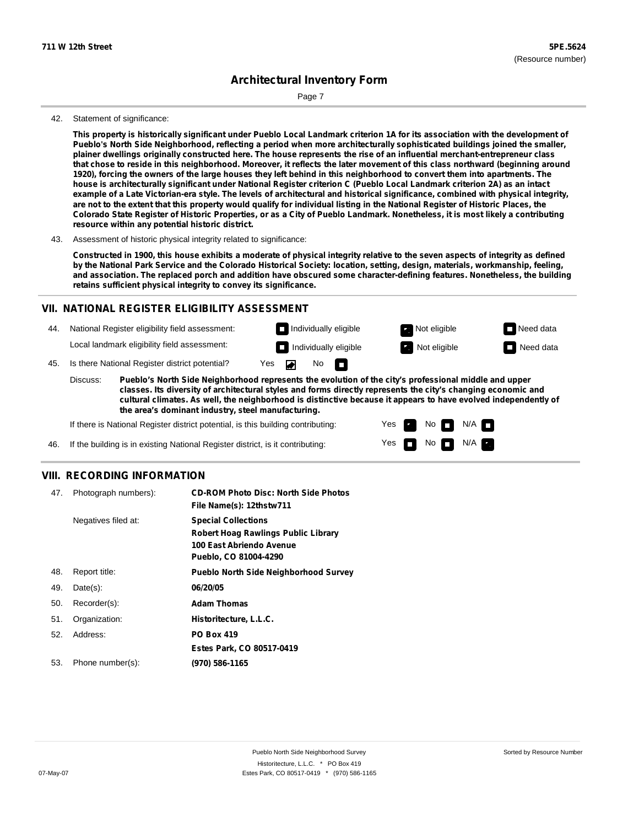Page 7

#### 42. Statement of significance:

This property is historically significant under Pueblo Local Landmark criterion 1A for its association with the development of Pueblo's North Side Neighborhood, reflecting a period when more architecturally sophisticated buildings joined the smaller, plainer dwellings originally constructed here. The house represents the rise of an influential merchant-entrepreneur class that chose to reside in this neighborhood. Moreover, it reflects the later movement of this class northward (beginning around 1920), forcing the owners of the large houses they left behind in this neighborhood to convert them into apartments. The house is architecturally significant under National Register criterion C (Pueblo Local Landmark criterion 2A) as an intact example of a Late Victorian-era style. The levels of architectural and historical significance, combined with physical integrity, are not to the extent that this property would qualify for individual listing in the National Register of Historic Places, the Colorado State Register of Historic Properties, or as a City of Pueblo Landmark. Nonetheless, it is most likely a contributing **resource within any potential historic district.**

43. Assessment of historic physical integrity related to significance:

Constructed in 1900, this house exhibits a moderate of physical integrity relative to the seven aspects of integrity as defined by the National Park Service and the Colorado Historical Society: location, setting, design, materials, workmanship, feeling, and association. The replaced porch and addition have obscured some character-defining features. Nonetheless, the building **retains sufficient physical integrity to convey its significance.**

### **VII. NATIONAL REGISTER ELIGIBILITY ASSESSMENT**

44. National Register eligibility field assessment:

Local landmark eligibility field assessment: **Individually eligible Not eligible** Not eligible **Need data** 

45. Is there National Register district potential? Yes

**Pueblo's North Side Neighborhood represents the evolution of the city's professional middle and upper classes. Its diversity of architectural styles and forms directly represents the city's changing economic and cultural climates. As well, the neighborhood is distinctive because it appears to have evolved independently of the area's dominant industry, steel manufacturing.** Discuss:

 $\overline{\bullet}$ 

No<sub>D</sub>

Yes Yes No

Individually eligible **Not eligible** Not eligible Need data

 $N/A$ N/A

If there is National Register district potential, is this building contributing:

If the building is in existing National Register district, is it contributing: 46.

#### **VIII. RECORDING INFORMATION**

| 47. | Photograph numbers): | <b>CD-ROM Photo Disc: North Side Photos</b><br>File Name(s): 12thstw711                                                       |
|-----|----------------------|-------------------------------------------------------------------------------------------------------------------------------|
|     | Negatives filed at:  | <b>Special Collections</b><br><b>Robert Hoag Rawlings Public Library</b><br>100 East Abriendo Avenue<br>Pueblo, CO 81004-4290 |
| 48. | Report title:        | <b>Pueblo North Side Neighborhood Survey</b>                                                                                  |
| 49. | $Date(s)$ :          | 06/20/05                                                                                                                      |
| 50. | Recorder(s):         | <b>Adam Thomas</b>                                                                                                            |
| 51. | Organization:        | Historitecture, L.L.C.                                                                                                        |
| 52. | Address:             | <b>PO Box 419</b>                                                                                                             |
|     |                      | Estes Park, CO 80517-0419                                                                                                     |
| 53. | Phone number(s):     | (970) 586-1165                                                                                                                |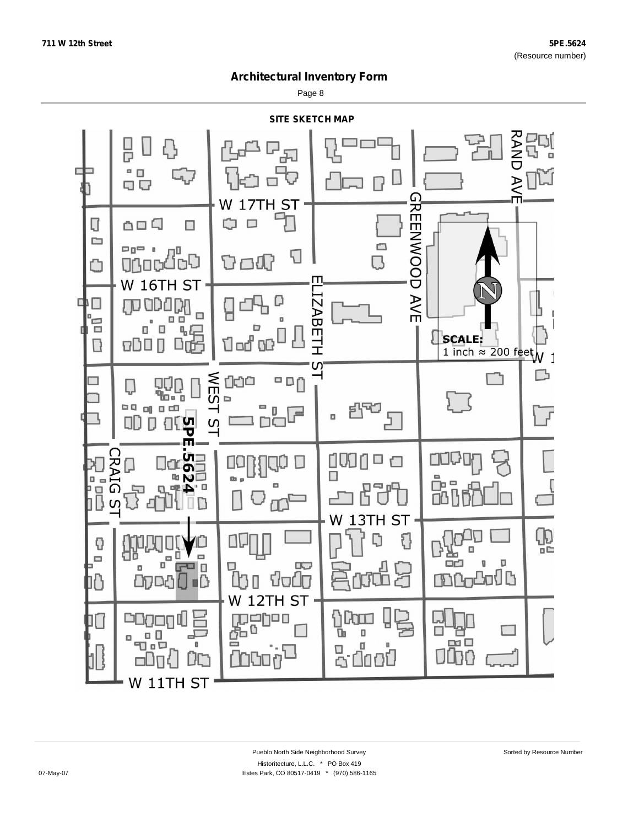Page 8